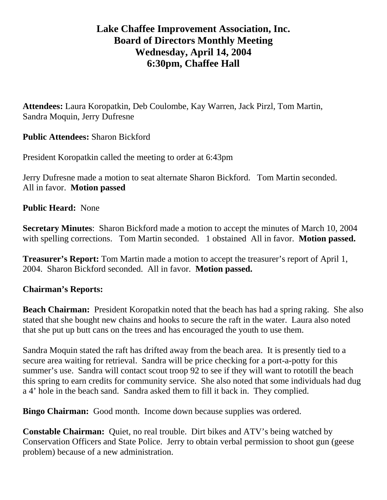## **Lake Chaffee Improvement Association, Inc. Board of Directors Monthly Meeting Wednesday, April 14, 2004 6:30pm, Chaffee Hall**

**Attendees:** Laura Koropatkin, Deb Coulombe, Kay Warren, Jack Pirzl, Tom Martin, Sandra Moquin, Jerry Dufresne

**Public Attendees:** Sharon Bickford

President Koropatkin called the meeting to order at 6:43pm

Jerry Dufresne made a motion to seat alternate Sharon Bickford. Tom Martin seconded. All in favor. **Motion passed** 

**Public Heard:** None

**Secretary Minutes**: Sharon Bickford made a motion to accept the minutes of March 10, 2004 with spelling corrections. Tom Martin seconded. 1 obstained All in favor. **Motion passed.** 

**Treasurer's Report:** Tom Martin made a motion to accept the treasurer's report of April 1, 2004. Sharon Bickford seconded. All in favor. **Motion passed.** 

## **Chairman's Reports:**

**Beach Chairman:** President Koropatkin noted that the beach has had a spring raking. She also stated that she bought new chains and hooks to secure the raft in the water. Laura also noted that she put up butt cans on the trees and has encouraged the youth to use them.

Sandra Moquin stated the raft has drifted away from the beach area. It is presently tied to a secure area waiting for retrieval. Sandra will be price checking for a port-a-potty for this summer's use. Sandra will contact scout troop 92 to see if they will want to rototill the beach this spring to earn credits for community service. She also noted that some individuals had dug a 4' hole in the beach sand. Sandra asked them to fill it back in. They complied.

**Bingo Chairman:** Good month. Income down because supplies was ordered.

**Constable Chairman:** Quiet, no real trouble. Dirt bikes and ATV's being watched by Conservation Officers and State Police. Jerry to obtain verbal permission to shoot gun (geese problem) because of a new administration.